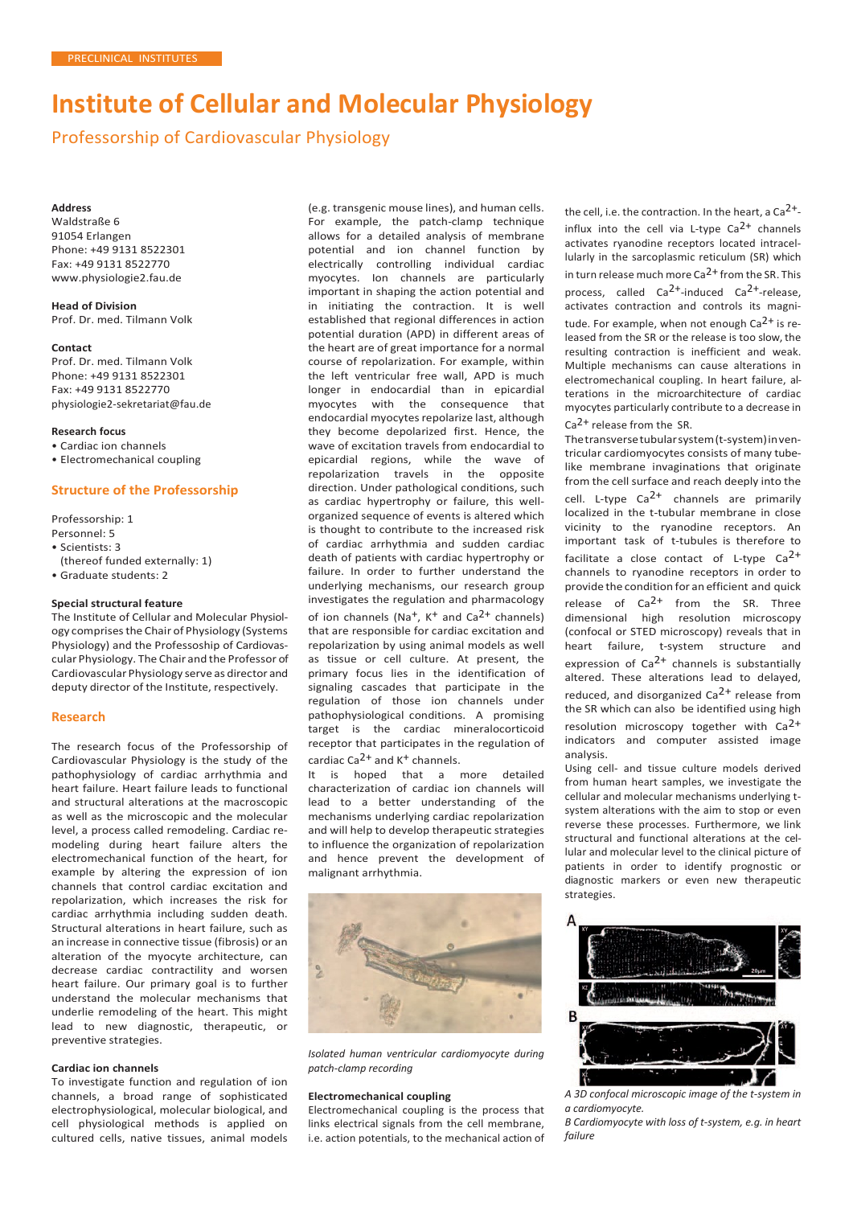# **Institute of Cellular and Molecular Physiology**

Professorship of Cardiovascular Physiology

#### **Address**

Waldstraße 6 91054 Erlangen Phone: +49 9131 8522301 Fax: +49 9131 8522770 [www.physiologie2.fau.de](http://www.physiologie2.fau.de/)

**Head of Division** Prof. Dr. med. Tilmann Volk

#### **Contact**

Prof. Dr. med. Tilmann Volk Phone: +49 9131 8522301 Fax: +49 9131 8522770 [physiologie2-sekretariat@fau.de](mailto:physiologie2-sekretariat@fau.de)

### **Research focus**

- Cardiac ion channels
- Electromechanical coupling

# **Structure of the Professorship**

Professorship: 1

- Personnel: 5
- Scientists: 3
- (thereof funded externally: 1) • Graduate students: 2

# **Special structural feature**

The Institute of Cellular and Molecular Physiology comprises the Chair of Physiology (Systems Physiology) and the Professoship of Cardiovascular Physiology. The Chair and the Professor of Cardiovascular Physiology serve as director and deputy director of the Institute, respectively.

# **Research**

The research focus of the Professorship of Cardiovascular Physiology is the study of the pathophysiology of cardiac arrhythmia and heart failure. Heart failure leads to functional and structural alterations at the macroscopic as well as the microscopic and the molecular level, a process called remodeling. Cardiac remodeling during heart failure alters the electromechanical function of the heart, for example by altering the expression of ion channels that control cardiac excitation and repolarization, which increases the risk for cardiac arrhythmia including sudden death. Structural alterations in heart failure, such as an increase in connective tissue (fibrosis) or an alteration of the myocyte architecture, can decrease cardiac contractility and worsen heart failure. Our primary goal is to further understand the molecular mechanisms that underlie remodeling of the heart. This might lead to new diagnostic, therapeutic, or preventive strategies.

#### **Cardiac ion channels**

To investigate function and regulation of ion channels, a broad range of sophisticated electrophysiological, molecular biological, and cell physiological methods is applied on cultured cells, native tissues, animal models

(e.g. transgenic mouse lines), and human cells. For example, the patch-clamp technique allows for a detailed analysis of membrane potential and ion channel function by electrically controlling individual cardiac myocytes. Ion channels are particularly important in shaping the action potential and in initiating the contraction. It is well established that regional differences in action potential duration (APD) in different areas of the heart are of great importance for a normal course of repolarization. For example, within the left ventricular free wall, APD is much longer in endocardial than in epicardial myocytes with the consequence that endocardial myocytes repolarize last, although they become depolarized first. Hence, the wave of excitation travels from endocardial to epicardial regions, while the wave of repolarization travels in the opposite direction. Under pathological conditions, such as cardiac hypertrophy or failure, this wellorganized sequence of events is altered which is thought to contribute to the increased risk of cardiac arrhythmia and sudden cardiac death of patients with cardiac hypertrophy or failure. In order to further understand the underlying mechanisms, our research group investigates the regulation and pharmacology of ion channels  $(Na^+, K^+)$  and  $Ca^{2+}$  channels) that are responsible for cardiac excitation and repolarization by using animal models as well as tissue or cell culture. At present, the primary focus lies in the identification of signaling cascades that participate in the regulation of those ion channels under pathophysiological conditions. A promising target is the cardiac mineralocorticoid receptor that participates in the regulation of cardiac  $Ca^{2+}$  and  $K^+$  channels.

It is hoped that a more detailed characterization of cardiac ion channels will lead to a better understanding of the mechanisms underlying cardiac repolarization and will help to develop therapeutic strategies to influence the organization of repolarization and hence prevent the development of malignant arrhythmia.



*Isolated human ventricular cardiomyocyte during patch-clamp recording*

#### **Electromechanical coupling**

Electromechanical coupling is the process that links electrical signals from the cell membrane, i.e. action potentials, to the mechanical action of the cell, i.e. the contraction. In the heart, a Ca<sup>2+</sup>influx into the cell via L-type  $Ca^{2+}$  channels activates ryanodine receptors located intracellularly in the sarcoplasmic reticulum (SR) which in turn release much more  $Ca^{2+}$  from the SR. This process, called  $Ca^{2+}$ -induced  $Ca^{2+}$ -release, activates contraction and controls its magnitude. For example, when not enough  $Ca<sup>2+</sup>$  is released from the SR or the release is too slow, the resulting contraction is inefficient and weak. Multiple mechanisms can cause alterations in electromechanical coupling. In heart failure, alterations in the microarchitecture of cardiac myocytes particularly contribute to a decrease in Ca<sup>2+</sup> release from the SR.

Thetransversetubularsystem(t-system)inventricular cardiomyocytes consists of many tubelike membrane invaginations that originate from the cell surface and reach deeply into the cell. L-type  $Ca^{2+}$  channels are primarily localized in the t-tubular membrane in close vicinity to the ryanodine receptors. An important task of t-tubules is therefore to facilitate a close contact of L-type  $Ca^{2+}$ channels to ryanodine receptors in order to provide the condition for an efficient and quick release of  $Ca^{2+}$  from the SR. Three dimensional high resolution microscopy (confocal or STED microscopy) reveals that in heart failure, t-system structure and expression of  $Ca^{2+}$  channels is substantially altered. These alterations lead to delayed, reduced, and disorganized  $Ca<sup>2+</sup>$  release from the SR which can also be identified using high resolution microscopy together with Ca<sup>2+</sup> indicators and computer assisted image analysis.

Using cell- and tissue culture models derived from human heart samples, we investigate the cellular and molecular mechanisms underlying tsystem alterations with the aim to stop or even reverse these processes. Furthermore, we link structural and functional alterations at the cellular and molecular level to the clinical picture of patients in order to identify prognostic or diagnostic markers or even new therapeutic strategies.



*A 3D confocal microscopic image of the t-system in a cardiomyocyte.*

*B Cardiomyocyte with loss of t-system, e.g. in heart failure*